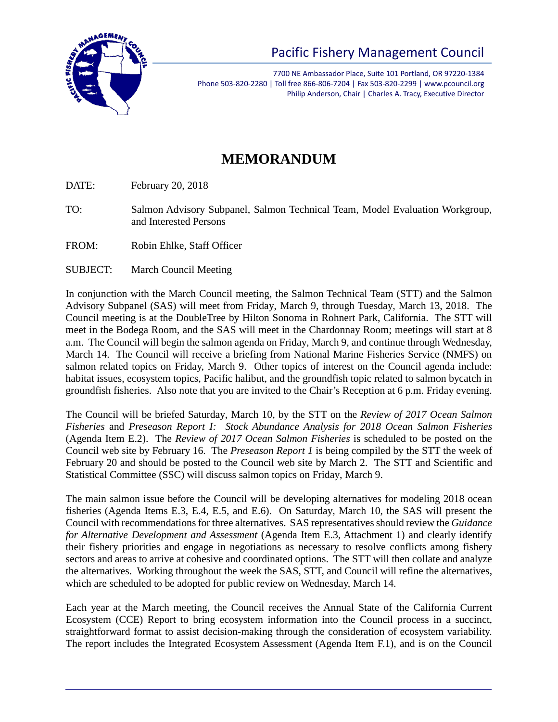

7700 NE Ambassador Place, Suite 101 Portland, OR 97220-1384 Phone 503-820-2280 | Toll free 866-806-7204 | Fax 503-820-2299 | www.pcouncil.org Philip Anderson, Chair | Charles A. Tracy, Executive Director

## **MEMORANDUM**

DATE: February 20, 2018

- TO: Salmon Advisory Subpanel, Salmon Technical Team, Model Evaluation Workgroup, and Interested Persons
- FROM: Robin Ehlke, Staff Officer
- SUBJECT: March Council Meeting

In conjunction with the March Council meeting, the Salmon Technical Team (STT) and the Salmon Advisory Subpanel (SAS) will meet from Friday, March 9, through Tuesday, March 13, 2018. The Council meeting is at the DoubleTree by Hilton Sonoma in Rohnert Park, California. The STT will meet in the Bodega Room, and the SAS will meet in the Chardonnay Room; meetings will start at 8 a.m. The Council will begin the salmon agenda on Friday, March 9, and continue through Wednesday, March 14. The Council will receive a briefing from National Marine Fisheries Service (NMFS) on salmon related topics on Friday, March 9. Other topics of interest on the Council agenda include: habitat issues, ecosystem topics, Pacific halibut, and the groundfish topic related to salmon bycatch in groundfish fisheries. Also note that you are invited to the Chair's Reception at 6 p.m. Friday evening.

The Council will be briefed Saturday, March 10, by the STT on the *Review of 2017 Ocean Salmon Fisheries* and *Preseason Report I: Stock Abundance Analysis for 2018 Ocean Salmon Fisheries* (Agenda Item E.2). The *Review of 2017 Ocean Salmon Fisheries* is scheduled to be posted on the Council web site by February 16. The *Preseason Report 1* is being compiled by the STT the week of February 20 and should be posted to the Council web site by March 2. The STT and Scientific and Statistical Committee (SSC) will discuss salmon topics on Friday, March 9.

The main salmon issue before the Council will be developing alternatives for modeling 2018 ocean fisheries (Agenda Items E.3, E.4, E.5, and E.6). On Saturday, March 10, the SAS will present the Council with recommendations for three alternatives. SAS representatives should review the *Guidance for Alternative Development and Assessment* (Agenda Item E.3, Attachment 1) and clearly identify their fishery priorities and engage in negotiations as necessary to resolve conflicts among fishery sectors and areas to arrive at cohesive and coordinated options. The STT will then collate and analyze the alternatives. Working throughout the week the SAS, STT, and Council will refine the alternatives, which are scheduled to be adopted for public review on Wednesday, March 14.

Each year at the March meeting, the Council receives the Annual State of the California Current Ecosystem (CCE) Report to bring ecosystem information into the Council process in a succinct, straightforward format to assist decision-making through the consideration of ecosystem variability. The report includes the Integrated Ecosystem Assessment (Agenda Item F.1), and is on the Council